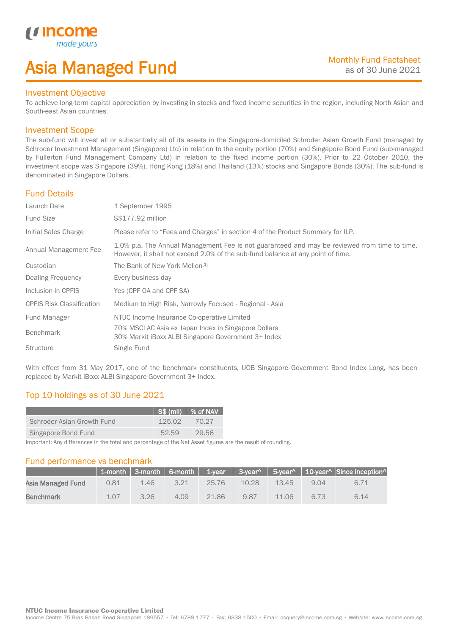## Asia Managed Fund

### Investment Objective

*u* incon

I

To achieve long-term capital appreciation by investing in stocks and fixed income securities in the region, including North Asian and South-east Asian countries.

### Investment Scope

The sub-fund will invest all or substantially all of its assets in the Singapore-domiciled Schroder Asian Growth Fund (managed by Schroder Investment Management (Singapore) Ltd) in relation to the equity portion (70%) and Singapore Bond Fund (sub-managed by Fullerton Fund Management Company Ltd) in relation to the fixed income portion (30%). Prior to 22 October 2010, the investment scope was Singapore (39%), Hong Kong (18%) and Thailand (13%) stocks and Singapore Bonds (30%). The sub-fund is denominated in Singapore Dollars.

### Fund Details

| Launch Date                      | 1 September 1995                                                                                                                                                                |
|----------------------------------|---------------------------------------------------------------------------------------------------------------------------------------------------------------------------------|
| <b>Fund Size</b>                 | S\$177.92 million                                                                                                                                                               |
| Initial Sales Charge             | Please refer to "Fees and Charges" in section 4 of the Product Summary for ILP.                                                                                                 |
| Annual Management Fee            | 1.0% p.a. The Annual Management Fee is not guaranteed and may be reviewed from time to time.<br>However, it shall not exceed 2.0% of the sub-fund balance at any point of time. |
| Custodian                        | The Bank of New York Mellon <sup>[1]</sup>                                                                                                                                      |
| Dealing Frequency                | Every business day                                                                                                                                                              |
| Inclusion in CPFIS               | Yes (CPF OA and CPF SA)                                                                                                                                                         |
| <b>CPFIS Risk Classification</b> | Medium to High Risk, Narrowly Focused - Regional - Asia                                                                                                                         |
| Fund Manager                     | NTUC Income Insurance Co-operative Limited                                                                                                                                      |
| <b>Benchmark</b>                 | 70% MSCI AC Asia ex Japan Index in Singapore Dollars<br>30% Markit iBoxx ALBI Singapore Government 3+ Index                                                                     |
| <b>Structure</b>                 | Single Fund                                                                                                                                                                     |

With effect from 31 May 2017, one of the benchmark constituents, UOB Singapore Government Bond Index Long, has been replaced by Markit iBoxx ALBI Singapore Government 3+ Index.

## Top 10 holdings as of 30 June 2021

|                            |        | $\vert$ S\$ (mil) $\vert$ % of NAV |
|----------------------------|--------|------------------------------------|
| Schroder Asian Growth Fund | 125.02 | 70.27                              |
| Singapore Bond Fund        | 52.59  | 29.56                              |

Important: Any differences in the total and percentage of the Net Asset figures are the result of rounding.

### Fund performance vs benchmark

|                   |      |      |      |       |       |       |      | 1-month   3-month   6-month   1-year   3-year^   5-year^   10-year^   Since inception^ |
|-------------------|------|------|------|-------|-------|-------|------|----------------------------------------------------------------------------------------|
| Asia Managed Fund | 0.81 | 1.46 | 3.21 | 25.76 | 10.28 | 13.45 | 904  | 6.71                                                                                   |
| <b>Benchmark</b>  | 1.07 | 3.26 | 4.09 | 21.86 | 9.87  | 11.06 | 6.73 | 6.14                                                                                   |